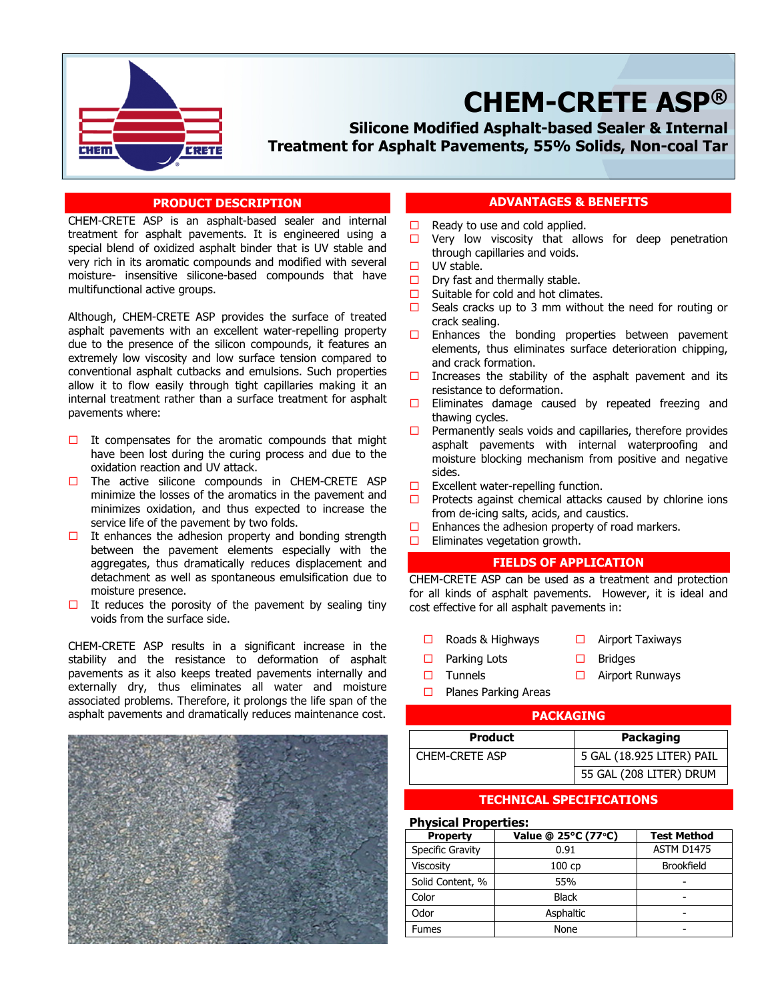

# **CHEM-CRETE ASP®**

**Silicone Modified Asphalt-based Sealer & Internal Treatment for Asphalt Pavements, 55% Solids, Non-coal Tar**

## **PRODUCT DESCRIPTION**

CHEM-CRETE ASP is an asphalt-based sealer and internal treatment for asphalt pavements. It is engineered using a special blend of oxidized asphalt binder that is UV stable and very rich in its aromatic compounds and modified with several moisture- insensitive silicone-based compounds that have multifunctional active groups.

Although, CHEM-CRETE ASP provides the surface of treated asphalt pavements with an excellent water-repelling property due to the presence of the silicon compounds, it features an extremely low viscosity and low surface tension compared to conventional asphalt cutbacks and emulsions. Such properties allow it to flow easily through tight capillaries making it an internal treatment rather than a surface treatment for asphalt pavements where:

- $\Box$  It compensates for the aromatic compounds that might have been lost during the curing process and due to the oxidation reaction and UV attack.
- $\Box$  The active silicone compounds in CHEM-CRETE ASP minimize the losses of the aromatics in the pavement and minimizes oxidation, and thus expected to increase the service life of the pavement by two folds.
- $\Box$  It enhances the adhesion property and bonding strength between the pavement elements especially with the aggregates, thus dramatically reduces displacement and detachment as well as spontaneous emulsification due to moisture presence.
- $\Box$  It reduces the porosity of the pavement by sealing tiny voids from the surface side.

CHEM-CRETE ASP results in a significant increase in the stability and the resistance to deformation of asphalt pavements as it also keeps treated pavements internally and externally dry, thus eliminates all water and moisture associated problems. Therefore, it prolongs the life span of the asphalt pavements and dramatically reduces maintenance cost.



# **ADVANTAGES & BENEFITS**

- $\Box$  Ready to use and cold applied.
- $\Box$  Very low viscosity that allows for deep penetration through capillaries and voids.
- $\Box$  UV stable.

For Asphalt Pavements

- $\Box$  Dry fast and thermally stable.
- $\Box$  Suitable for cold and hot climates.
- $\Box$  Seals cracks up to 3 mm without the need for routing or crack sealing.
- $\Box$  Enhances the bonding properties between pavement elements, thus eliminates surface deterioration chipping, and crack formation.
- $\Box$  Increases the stability of the asphalt pavement and its resistance to deformation.
- $\square$  Eliminates damage caused by repeated freezing and thawing cycles.
- $\Box$  Permanently seals voids and capillaries, therefore provides asphalt pavements with internal waterproofing and moisture blocking mechanism from positive and negative sides.
- $\Box$  Excellent water-repelling function.
- $\Box$  Protects against chemical attacks caused by chlorine ions from de-icing salts, acids, and caustics.
- $\Box$  Enhances the adhesion property of road markers.
- $\Box$  Eliminates vegetation growth.

# **FIELDS OF APPLICATION**

CHEM-CRETE ASP can be used as a treatment and protection for all kinds of asphalt pavements. However, it is ideal and cost effective for all asphalt pavements in:

- $\Box$  Roads & Highways  $\Box$  Airport Taxiways
- $\Box$  Parking Lots  $\Box$  Bridges
- 
- $\Box$  Tunnels  $\Box$  Airport Runways
- $\Box$  Planes Parking Areas

# **PACKAGING**

| <b>Product</b>        | <b>Packaging</b>          |  |
|-----------------------|---------------------------|--|
| <b>CHEM-CRETE ASP</b> | 5 GAL (18.925 LITER) PAIL |  |
|                       | 55 GAL (208 LITER) DRUM   |  |

# **TECHNICAL SPECIFICATIONS**

## **Physical Properties:**

| <b>Property</b>  | Value @ 25°C (77°C) | <b>Test Method</b> |
|------------------|---------------------|--------------------|
| Specific Gravity | 0.91                | ASTM D1475         |
| Viscosity        | 100 cp              | <b>Brookfield</b>  |
| Solid Content, % | 55%                 |                    |
| Color            | <b>Black</b>        |                    |
| Odor             | Asphaltic           |                    |
| <b>Fumes</b>     | None                |                    |